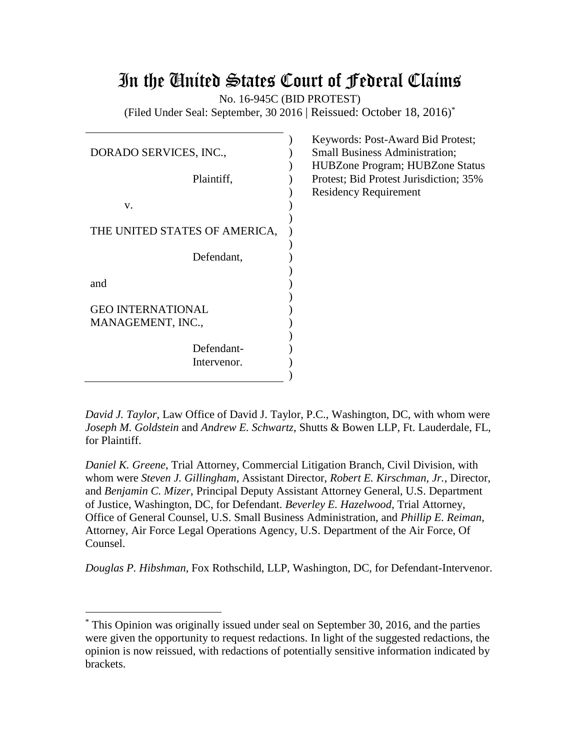# In the United States Court of Federal Claims

No. 16-945C (BID PROTEST)

(Filed Under Seal: September, 30 2016 | Reissued: October 18, 2016) \*

| DORADO SERVICES, INC.,                        |  |  |  |  |
|-----------------------------------------------|--|--|--|--|
| Plaintiff,                                    |  |  |  |  |
| V.                                            |  |  |  |  |
| THE UNITED STATES OF AMERICA,                 |  |  |  |  |
| Defendant,                                    |  |  |  |  |
| and                                           |  |  |  |  |
| <b>GEO INTERNATIONAL</b><br>MANAGEMENT, INC., |  |  |  |  |
| Defendant-<br>Intervenor.                     |  |  |  |  |

Keywords: Post-Award Bid Protest; Small Business Administration; HUBZone Program; HUBZone Status Protest; Bid Protest Jurisdiction; 35% Residency Requirement

*David J. Taylor*, Law Office of David J. Taylor, P.C., Washington, DC, with whom were *Joseph M. Goldstein* and *Andrew E. Schwartz*, Shutts & Bowen LLP, Ft. Lauderdale, FL, for Plaintiff.

*Daniel K. Greene*, Trial Attorney, Commercial Litigation Branch, Civil Division, with whom were *Steven J. Gillingham*, Assistant Director, *Robert E. Kirschman, Jr.*, Director, and *Benjamin C. Mizer*, Principal Deputy Assistant Attorney General, U.S. Department of Justice, Washington, DC, for Defendant. *Beverley E. Hazelwood*, Trial Attorney, Office of General Counsel, U.S. Small Business Administration, and *Phillip E. Reiman*, Attorney, Air Force Legal Operations Agency, U.S. Department of the Air Force, Of Counsel.

*Douglas P. Hibshman*, Fox Rothschild, LLP, Washington, DC, for Defendant-Intervenor.

<sup>\*</sup> This Opinion was originally issued under seal on September 30, 2016, and the parties were given the opportunity to request redactions. In light of the suggested redactions, the opinion is now reissued, with redactions of potentially sensitive information indicated by brackets.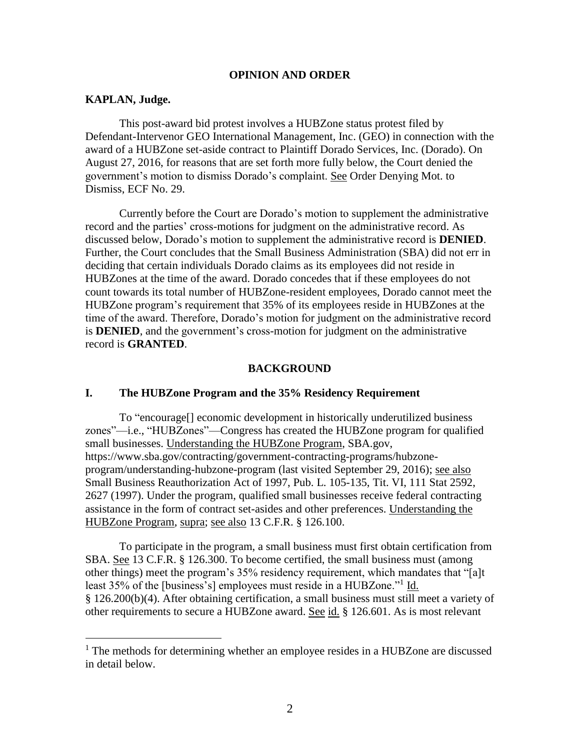#### **OPINION AND ORDER**

#### **KAPLAN, Judge.**

 $\overline{a}$ 

This post-award bid protest involves a HUBZone status protest filed by Defendant-Intervenor GEO International Management, Inc. (GEO) in connection with the award of a HUBZone set-aside contract to Plaintiff Dorado Services, Inc. (Dorado). On August 27, 2016, for reasons that are set forth more fully below, the Court denied the government's motion to dismiss Dorado's complaint. See Order Denying Mot. to Dismiss, ECF No. 29.

Currently before the Court are Dorado's motion to supplement the administrative record and the parties' cross-motions for judgment on the administrative record. As discussed below, Dorado's motion to supplement the administrative record is **DENIED**. Further, the Court concludes that the Small Business Administration (SBA) did not err in deciding that certain individuals Dorado claims as its employees did not reside in HUBZones at the time of the award. Dorado concedes that if these employees do not count towards its total number of HUBZone-resident employees, Dorado cannot meet the HUBZone program's requirement that 35% of its employees reside in HUBZones at the time of the award. Therefore, Dorado's motion for judgment on the administrative record is **DENIED**, and the government's cross-motion for judgment on the administrative record is **GRANTED**.

#### **BACKGROUND**

## **I. The HUBZone Program and the 35% Residency Requirement**

To "encourage[] economic development in historically underutilized business zones"—i.e., "HUBZones"—Congress has created the HUBZone program for qualified small businesses. Understanding the HUBZone Program, SBA.gov, https://www.sba.gov/contracting/government-contracting-programs/hubzoneprogram/understanding-hubzone-program (last visited September 29, 2016); see also Small Business Reauthorization Act of 1997, Pub. L. 105-135, Tit. VI, 111 Stat 2592, 2627 (1997). Under the program, qualified small businesses receive federal contracting assistance in the form of contract set-asides and other preferences. Understanding the HUBZone Program, supra; see also 13 C.F.R. § 126.100.

To participate in the program, a small business must first obtain certification from SBA. See 13 C.F.R. § 126.300. To become certified, the small business must (among other things) meet the program's 35% residency requirement, which mandates that "[a]t least 35% of the [business's] employees must reside in a HUBZone."<sup>1</sup> Id. § 126.200(b)(4). After obtaining certification, a small business must still meet a variety of other requirements to secure a HUBZone award. See id. § 126.601. As is most relevant

<sup>&</sup>lt;sup>1</sup> The methods for determining whether an employee resides in a HUBZone are discussed in detail below.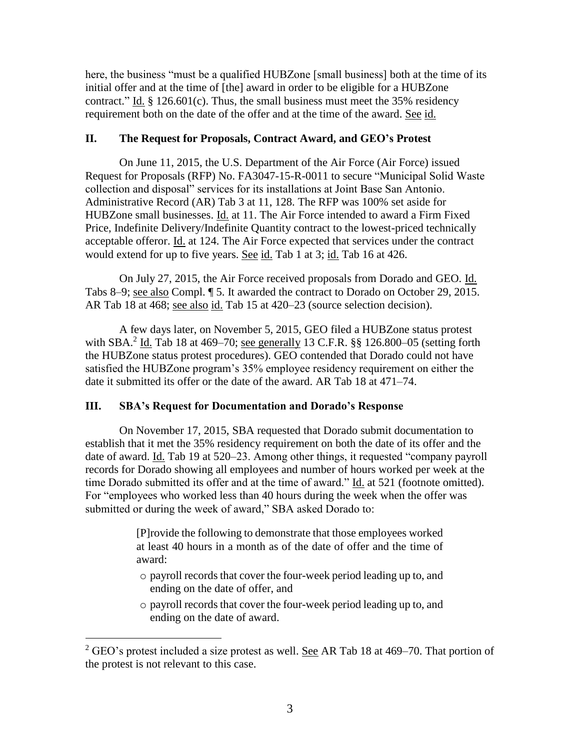here, the business "must be a qualified HUBZone [small business] both at the time of its initial offer and at the time of [the] award in order to be eligible for a HUBZone contract." Id.  $\S 126.601(c)$ . Thus, the small business must meet the 35% residency requirement both on the date of the offer and at the time of the award. See id.

# **II. The Request for Proposals, Contract Award, and GEO's Protest**

On June 11, 2015, the U.S. Department of the Air Force (Air Force) issued Request for Proposals (RFP) No. FA3047-15-R-0011 to secure "Municipal Solid Waste collection and disposal" services for its installations at Joint Base San Antonio. Administrative Record (AR) Tab 3 at 11, 128. The RFP was 100% set aside for HUBZone small businesses. Id. at 11. The Air Force intended to award a Firm Fixed Price, Indefinite Delivery/Indefinite Quantity contract to the lowest-priced technically acceptable offeror. Id. at 124. The Air Force expected that services under the contract would extend for up to five years. See id. Tab 1 at 3; id. Tab 16 at 426.

On July 27, 2015, the Air Force received proposals from Dorado and GEO. Id. Tabs 8–9; see also Compl. ¶ 5. It awarded the contract to Dorado on October 29, 2015. AR Tab 18 at 468; see also id. Tab 15 at 420–23 (source selection decision).

A few days later, on November 5, 2015, GEO filed a HUBZone status protest with SBA.<sup>2</sup> Id. Tab 18 at 469–70; <u>see generally</u> 13 C.F.R.  $\S$ § 126.800–05 (setting forth the HUBZone status protest procedures). GEO contended that Dorado could not have satisfied the HUBZone program's 35% employee residency requirement on either the date it submitted its offer or the date of the award. AR Tab 18 at 471–74.

# **III. SBA's Request for Documentation and Dorado's Response**

 $\overline{a}$ 

On November 17, 2015, SBA requested that Dorado submit documentation to establish that it met the 35% residency requirement on both the date of its offer and the date of award. Id. Tab 19 at 520–23. Among other things, it requested "company payroll records for Dorado showing all employees and number of hours worked per week at the time Dorado submitted its offer and at the time of award." Id. at 521 (footnote omitted). For "employees who worked less than 40 hours during the week when the offer was submitted or during the week of award," SBA asked Dorado to:

> [P]rovide the following to demonstrate that those employees worked at least 40 hours in a month as of the date of offer and the time of award:

- o payroll records that cover the four-week period leading up to, and ending on the date of offer, and
- o payroll records that cover the four-week period leading up to, and ending on the date of award.

 $2$  GEO's protest included a size protest as well. See AR Tab 18 at 469–70. That portion of the protest is not relevant to this case.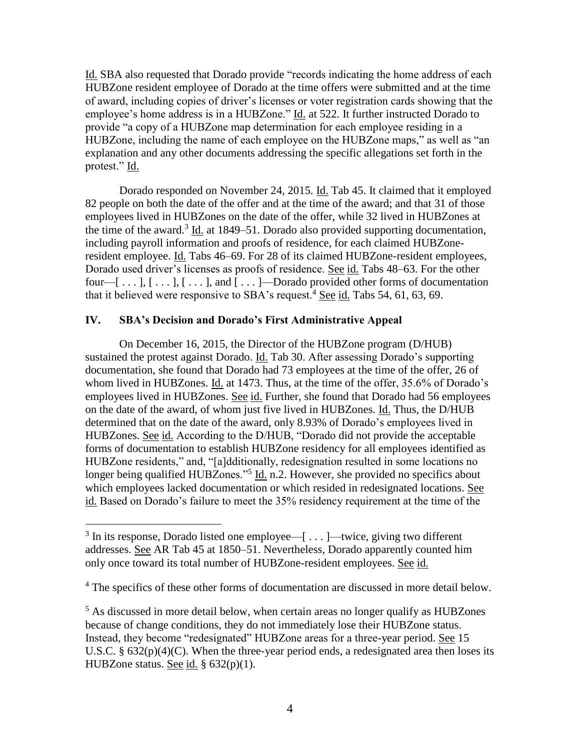Id. SBA also requested that Dorado provide "records indicating the home address of each HUBZone resident employee of Dorado at the time offers were submitted and at the time of award, including copies of driver's licenses or voter registration cards showing that the employee's home address is in a HUBZone." Id. at 522. It further instructed Dorado to provide "a copy of a HUBZone map determination for each employee residing in a HUBZone, including the name of each employee on the HUBZone maps," as well as "an explanation and any other documents addressing the specific allegations set forth in the protest." Id.

Dorado responded on November 24, 2015. Id. Tab 45. It claimed that it employed 82 people on both the date of the offer and at the time of the award; and that 31 of those employees lived in HUBZones on the date of the offer, while 32 lived in HUBZones at the time of the award.<sup>3</sup> Id. at 1849–51. Dorado also provided supporting documentation, including payroll information and proofs of residence, for each claimed HUBZoneresident employee. Id. Tabs 46–69. For 28 of its claimed HUBZone-resident employees, Dorado used driver's licenses as proofs of residence. See id. Tabs 48–63. For the other four— $[\ldots]$ ,  $[\ldots]$ ,  $[\ldots]$ , and  $[\ldots]$ —Dorado provided other forms of documentation that it believed were responsive to SBA's request.<sup>4</sup> See id. Tabs 54, 61, 63, 69.

## **IV. SBA's Decision and Dorado's First Administrative Appeal**

 $\overline{a}$ 

On December 16, 2015, the Director of the HUBZone program (D/HUB) sustained the protest against Dorado. Id. Tab 30. After assessing Dorado's supporting documentation, she found that Dorado had 73 employees at the time of the offer, 26 of whom lived in HUBZones. Id. at 1473. Thus, at the time of the offer, 35.6% of Dorado's employees lived in HUBZones. See id. Further, she found that Dorado had 56 employees on the date of the award, of whom just five lived in HUBZones. Id. Thus, the D/HUB determined that on the date of the award, only 8.93% of Dorado's employees lived in HUBZones. See id. According to the D/HUB, "Dorado did not provide the acceptable forms of documentation to establish HUBZone residency for all employees identified as HUBZone residents," and, "[a]dditionally, redesignation resulted in some locations no longer being qualified HUBZones."<sup>5</sup> Id. n.2. However, she provided no specifics about which employees lacked documentation or which resided in redesignated locations. See id. Based on Dorado's failure to meet the 35% residency requirement at the time of the

 $3$  In its response, Dorado listed one employee—[...]—twice, giving two different addresses. See AR Tab 45 at 1850–51. Nevertheless, Dorado apparently counted him only once toward its total number of HUBZone-resident employees. See id.

<sup>&</sup>lt;sup>4</sup> The specifics of these other forms of documentation are discussed in more detail below.

 $<sup>5</sup>$  As discussed in more detail below, when certain areas no longer qualify as HUBZones</sup> because of change conditions, they do not immediately lose their HUBZone status. Instead, they become "redesignated" HUBZone areas for a three-year period. See 15 U.S.C. § 632(p)(4)(C). When the three-year period ends, a redesignated area then loses its HUBZone status. See id. § 632(p)(1).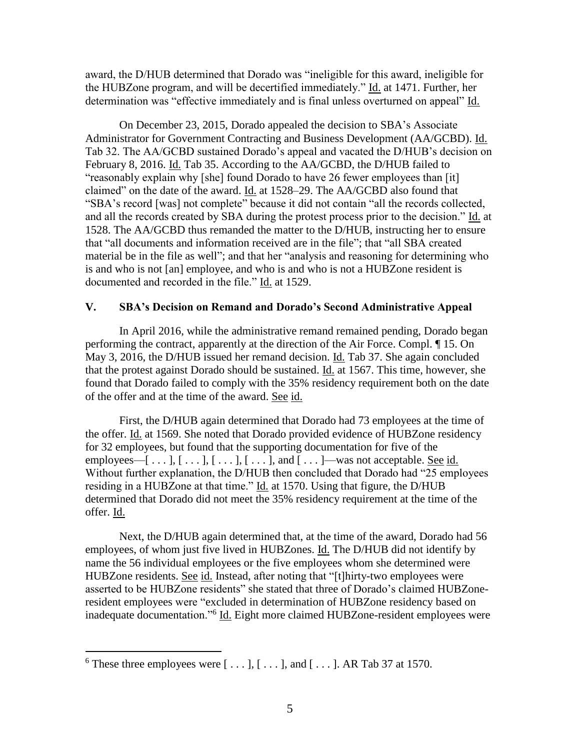award, the D/HUB determined that Dorado was "ineligible for this award, ineligible for the HUBZone program, and will be decertified immediately." Id. at 1471. Further, her determination was "effective immediately and is final unless overturned on appeal" Id.

On December 23, 2015, Dorado appealed the decision to SBA's Associate Administrator for Government Contracting and Business Development (AA/GCBD). Id. Tab 32. The AA/GCBD sustained Dorado's appeal and vacated the D/HUB's decision on February 8, 2016. Id. Tab 35. According to the AA/GCBD, the D/HUB failed to "reasonably explain why [she] found Dorado to have 26 fewer employees than [it] claimed" on the date of the award. Id. at 1528–29. The AA/GCBD also found that "SBA's record [was] not complete" because it did not contain "all the records collected, and all the records created by SBA during the protest process prior to the decision." Id. at 1528. The AA/GCBD thus remanded the matter to the D/HUB, instructing her to ensure that "all documents and information received are in the file"; that "all SBA created material be in the file as well"; and that her "analysis and reasoning for determining who is and who is not [an] employee, and who is and who is not a HUBZone resident is documented and recorded in the file." Id. at 1529.

## **V. SBA's Decision on Remand and Dorado's Second Administrative Appeal**

In April 2016, while the administrative remand remained pending, Dorado began performing the contract, apparently at the direction of the Air Force. Compl. ¶ 15. On May 3, 2016, the D/HUB issued her remand decision. Id. Tab 37. She again concluded that the protest against Dorado should be sustained. Id. at 1567. This time, however, she found that Dorado failed to comply with the 35% residency requirement both on the date of the offer and at the time of the award. See id.

First, the D/HUB again determined that Dorado had 73 employees at the time of the offer. Id. at 1569. She noted that Dorado provided evidence of HUBZone residency for 32 employees, but found that the supporting documentation for five of the employees— $[\ldots], [\ldots], [\ldots], [\ldots],$  and  $[\ldots]$ —was not acceptable. <u>See id.</u> Without further explanation, the D/HUB then concluded that Dorado had "25 employees residing in a HUBZone at that time." Id. at 1570. Using that figure, the D/HUB determined that Dorado did not meet the 35% residency requirement at the time of the offer. Id.

Next, the D/HUB again determined that, at the time of the award, Dorado had 56 employees, of whom just five lived in HUBZones. Id. The D/HUB did not identify by name the 56 individual employees or the five employees whom she determined were HUBZone residents. See id. Instead, after noting that "[t]hirty-two employees were asserted to be HUBZone residents" she stated that three of Dorado's claimed HUBZoneresident employees were "excluded in determination of HUBZone residency based on inadequate documentation."<sup>6</sup> Id. Eight more claimed HUBZone-resident employees were

 $\overline{a}$ 

<sup>&</sup>lt;sup>6</sup> These three employees were  $[\dots], [\dots],$  and  $[\dots]$ . AR Tab 37 at 1570.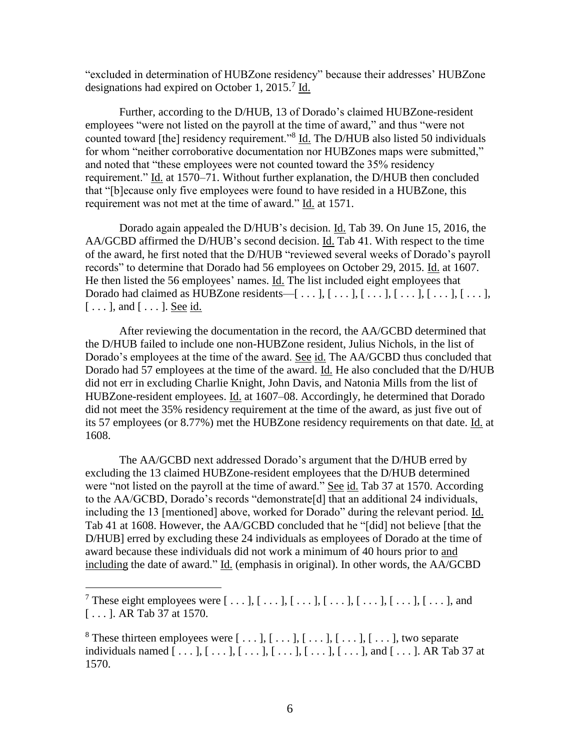"excluded in determination of HUBZone residency" because their addresses' HUBZone designations had expired on October 1, 2015.<sup>7</sup> Id.

Further, according to the D/HUB, 13 of Dorado's claimed HUBZone-resident employees "were not listed on the payroll at the time of award," and thus "were not counted toward [the] residency requirement."<sup>8</sup> Id. The D/HUB also listed 50 individuals for whom "neither corroborative documentation nor HUBZones maps were submitted," and noted that "these employees were not counted toward the 35% residency requirement." Id. at 1570–71. Without further explanation, the D/HUB then concluded that "[b]ecause only five employees were found to have resided in a HUBZone, this requirement was not met at the time of award." Id. at 1571.

Dorado again appealed the D/HUB's decision. Id. Tab 39. On June 15, 2016, the AA/GCBD affirmed the D/HUB's second decision. Id. Tab 41. With respect to the time of the award, he first noted that the D/HUB "reviewed several weeks of Dorado's payroll records" to determine that Dorado had 56 employees on October 29, 2015. Id. at 1607. He then listed the 56 employees' names. Id. The list included eight employees that Dorado had claimed as HUBZone residents— $[\ldots], [\ldots], [\ldots], [\ldots], [\ldots], [\ldots]$  $[\ldots]$ , and  $[\ldots]$ . See id.

After reviewing the documentation in the record, the AA/GCBD determined that the D/HUB failed to include one non-HUBZone resident, Julius Nichols, in the list of Dorado's employees at the time of the award. See id. The AA/GCBD thus concluded that Dorado had 57 employees at the time of the award. Id. He also concluded that the D/HUB did not err in excluding Charlie Knight, John Davis, and Natonia Mills from the list of HUBZone-resident employees. Id. at 1607–08. Accordingly, he determined that Dorado did not meet the 35% residency requirement at the time of the award, as just five out of its 57 employees (or 8.77%) met the HUBZone residency requirements on that date. Id. at 1608.

The AA/GCBD next addressed Dorado's argument that the D/HUB erred by excluding the 13 claimed HUBZone-resident employees that the D/HUB determined were "not listed on the payroll at the time of award." See id. Tab 37 at 1570. According to the AA/GCBD, Dorado's records "demonstrate[d] that an additional 24 individuals, including the 13 [mentioned] above, worked for Dorado" during the relevant period. Id. Tab 41 at 1608. However, the AA/GCBD concluded that he "[did] not believe [that the D/HUB] erred by excluding these 24 individuals as employees of Dorado at the time of award because these individuals did not work a minimum of 40 hours prior to and including the date of award." Id. (emphasis in original). In other words, the AA/GCBD

<sup>&</sup>lt;sup>7</sup> These eight employees were  $[\ldots], [\ldots], [\ldots], [\ldots], [\ldots], [\ldots], [\ldots]$ , and [ . . . ]. AR Tab 37 at 1570.

<sup>&</sup>lt;sup>8</sup> These thirteen employees were  $[\ldots], [\ldots], [\ldots], [\ldots], [\ldots]$ , two separate individuals named  $[\ldots], [\ldots], [\ldots], [\ldots], [\ldots], [\ldots], [\ldots]$ , and  $[\ldots]$ . AR Tab 37 at 1570.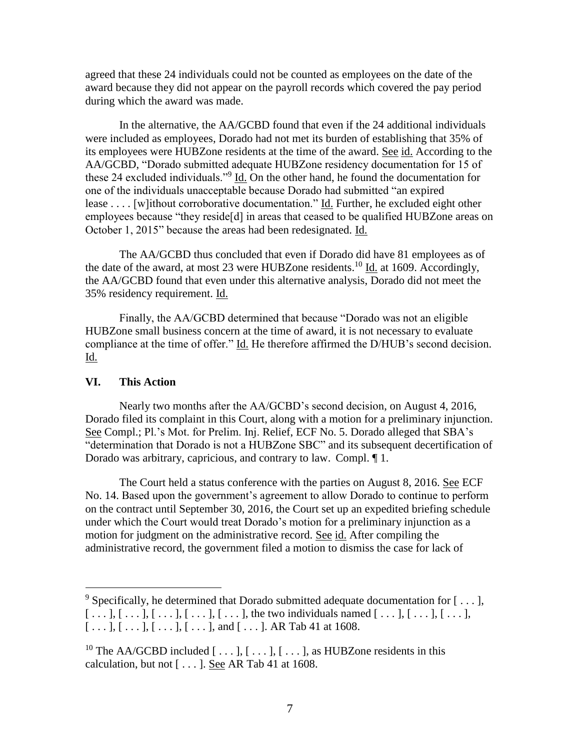agreed that these 24 individuals could not be counted as employees on the date of the award because they did not appear on the payroll records which covered the pay period during which the award was made.

In the alternative, the AA/GCBD found that even if the 24 additional individuals were included as employees, Dorado had not met its burden of establishing that 35% of its employees were HUBZone residents at the time of the award. See id. According to the AA/GCBD, "Dorado submitted adequate HUBZone residency documentation for 15 of these 24 excluded individuals."<sup>9</sup> Id. On the other hand, he found the documentation for one of the individuals unacceptable because Dorado had submitted "an expired lease . . . . [w]ithout corroborative documentation." Id. Further, he excluded eight other employees because "they reside[d] in areas that ceased to be qualified HUBZone areas on October 1, 2015" because the areas had been redesignated. Id.

The AA/GCBD thus concluded that even if Dorado did have 81 employees as of the date of the award, at most 23 were HUBZone residents.<sup>10</sup> Id. at 1609. Accordingly, the AA/GCBD found that even under this alternative analysis, Dorado did not meet the 35% residency requirement. Id.

Finally, the AA/GCBD determined that because "Dorado was not an eligible HUBZone small business concern at the time of award, it is not necessary to evaluate compliance at the time of offer." Id. He therefore affirmed the D/HUB's second decision. <u>Id.</u>

#### **VI. This Action**

Nearly two months after the AA/GCBD's second decision, on August 4, 2016, Dorado filed its complaint in this Court, along with a motion for a preliminary injunction. See Compl.; Pl.'s Mot. for Prelim. Inj. Relief, ECF No. 5. Dorado alleged that SBA's "determination that Dorado is not a HUBZone SBC" and its subsequent decertification of Dorado was arbitrary, capricious, and contrary to law. Compl. ¶ 1.

The Court held a status conference with the parties on August 8, 2016. See ECF No. 14. Based upon the government's agreement to allow Dorado to continue to perform on the contract until September 30, 2016, the Court set up an expedited briefing schedule under which the Court would treat Dorado's motion for a preliminary injunction as a motion for judgment on the administrative record. See id. After compiling the administrative record, the government filed a motion to dismiss the case for lack of

<sup>&</sup>lt;sup>9</sup> Specifically, he determined that Dorado submitted adequate documentation for  $[\ldots]$ ,  $[ \ldots ] , [ \ldots ] , [ \ldots ] , [ \ldots ] , [ \ldots ] , [ \ldots ] ,$  the two individuals named  $[ \ldots ] , [ \ldots ] , [ \ldots ] ,$  $[\ldots], [\ldots], [\ldots], [\ldots], [\ldots],$  and  $[\ldots]$ . AR Tab 41 at 1608.

<sup>&</sup>lt;sup>10</sup> The AA/GCBD included  $[\ldots], [\ldots], [\ldots]$ , as HUBZone residents in this calculation, but not  $[...]$ . See AR Tab 41 at 1608.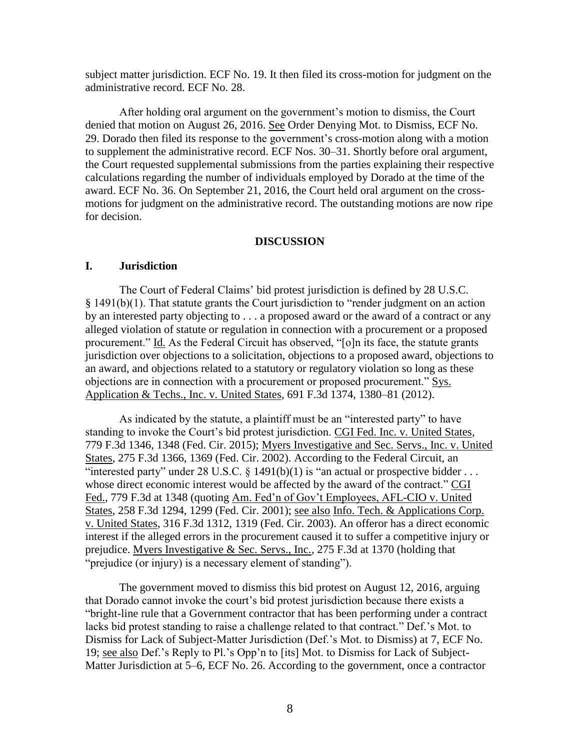subject matter jurisdiction. ECF No. 19. It then filed its cross-motion for judgment on the administrative record. ECF No. 28.

After holding oral argument on the government's motion to dismiss, the Court denied that motion on August 26, 2016. See Order Denying Mot. to Dismiss, ECF No. 29. Dorado then filed its response to the government's cross-motion along with a motion to supplement the administrative record. ECF Nos. 30–31. Shortly before oral argument, the Court requested supplemental submissions from the parties explaining their respective calculations regarding the number of individuals employed by Dorado at the time of the award. ECF No. 36. On September 21, 2016, the Court held oral argument on the crossmotions for judgment on the administrative record. The outstanding motions are now ripe for decision.

#### **DISCUSSION**

#### **I. Jurisdiction**

The Court of Federal Claims' bid protest jurisdiction is defined by 28 U.S.C. § 1491(b)(1). That statute grants the Court jurisdiction to "render judgment on an action by an interested party objecting to . . . a proposed award or the award of a contract or any alleged violation of statute or regulation in connection with a procurement or a proposed procurement." Id. As the Federal Circuit has observed, "[o]n its face, the statute grants jurisdiction over objections to a solicitation, objections to a proposed award, objections to an award, and objections related to a statutory or regulatory violation so long as these objections are in connection with a procurement or proposed procurement." Sys. Application & Techs., Inc. v. United States, 691 F.3d 1374, 1380–81 (2012).

As indicated by the statute, a plaintiff must be an "interested party" to have standing to invoke the Court's bid protest jurisdiction. CGI Fed. Inc. v. United States, 779 F.3d 1346, 1348 (Fed. Cir. 2015); Myers Investigative and Sec. Servs., Inc. v. United States, 275 F.3d 1366, 1369 (Fed. Cir. 2002). According to the Federal Circuit, an "interested party" under 28 U.S.C.  $\S$  1491(b)(1) is "an actual or prospective bidder ... whose direct economic interest would be affected by the award of the contract." CGI Fed., 779 F.3d at 1348 (quoting Am. Fed'n of Gov't Employees, AFL-CIO v. United States, 258 F.3d 1294, 1299 (Fed. Cir. 2001); see also Info. Tech. & Applications Corp. v. United States, 316 F.3d 1312, 1319 (Fed. Cir. 2003). An offeror has a direct economic interest if the alleged errors in the procurement caused it to suffer a competitive injury or prejudice. Myers Investigative & Sec. Servs., Inc., 275 F.3d at 1370 (holding that "prejudice (or injury) is a necessary element of standing").

The government moved to dismiss this bid protest on August 12, 2016, arguing that Dorado cannot invoke the court's bid protest jurisdiction because there exists a "bright-line rule that a Government contractor that has been performing under a contract lacks bid protest standing to raise a challenge related to that contract." Def.'s Mot. to Dismiss for Lack of Subject-Matter Jurisdiction (Def.'s Mot. to Dismiss) at 7, ECF No. 19; see also Def.'s Reply to Pl.'s Opp'n to [its] Mot. to Dismiss for Lack of Subject-Matter Jurisdiction at 5–6, ECF No. 26. According to the government, once a contractor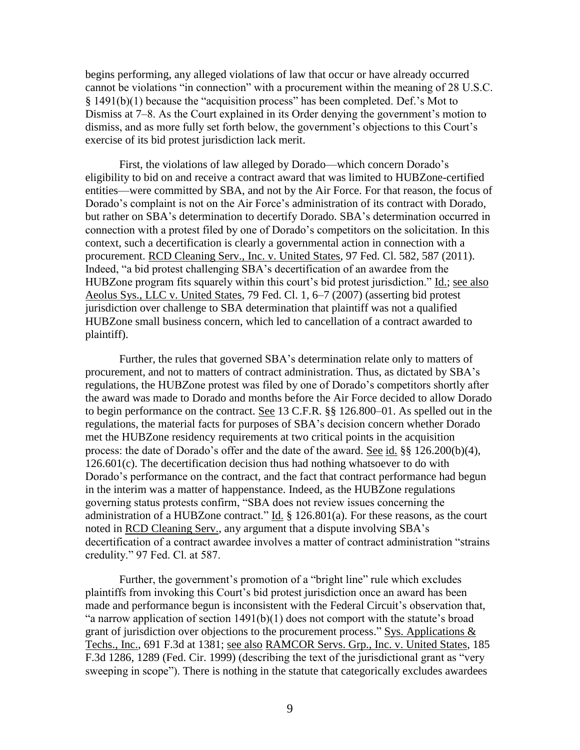begins performing, any alleged violations of law that occur or have already occurred cannot be violations "in connection" with a procurement within the meaning of 28 U.S.C. § 1491(b)(1) because the "acquisition process" has been completed. Def.'s Mot to Dismiss at 7–8. As the Court explained in its Order denying the government's motion to dismiss, and as more fully set forth below, the government's objections to this Court's exercise of its bid protest jurisdiction lack merit.

First, the violations of law alleged by Dorado—which concern Dorado's eligibility to bid on and receive a contract award that was limited to HUBZone-certified entities—were committed by SBA, and not by the Air Force. For that reason, the focus of Dorado's complaint is not on the Air Force's administration of its contract with Dorado, but rather on SBA's determination to decertify Dorado. SBA's determination occurred in connection with a protest filed by one of Dorado's competitors on the solicitation. In this context, such a decertification is clearly a governmental action in connection with a procurement. RCD Cleaning Serv., Inc. v. United States, 97 Fed. Cl. 582, 587 (2011). Indeed, "a bid protest challenging SBA's decertification of an awardee from the HUBZone program fits squarely within this court's bid protest jurisdiction." Id.; see also Aeolus Sys., LLC v. United States, 79 Fed. Cl. 1, 6–7 (2007) (asserting bid protest jurisdiction over challenge to SBA determination that plaintiff was not a qualified HUBZone small business concern, which led to cancellation of a contract awarded to plaintiff).

Further, the rules that governed SBA's determination relate only to matters of procurement, and not to matters of contract administration. Thus, as dictated by SBA's regulations, the HUBZone protest was filed by one of Dorado's competitors shortly after the award was made to Dorado and months before the Air Force decided to allow Dorado to begin performance on the contract. See 13 C.F.R. §§ 126.800–01. As spelled out in the regulations, the material facts for purposes of SBA's decision concern whether Dorado met the HUBZone residency requirements at two critical points in the acquisition process: the date of Dorado's offer and the date of the award. See id. §§ 126.200(b)(4), 126.601(c). The decertification decision thus had nothing whatsoever to do with Dorado's performance on the contract, and the fact that contract performance had begun in the interim was a matter of happenstance. Indeed, as the HUBZone regulations governing status protests confirm, "SBA does not review issues concerning the administration of a HUBZone contract." Id. § 126.801(a). For these reasons, as the court noted in RCD Cleaning Serv., any argument that a dispute involving SBA's decertification of a contract awardee involves a matter of contract administration "strains credulity." 97 Fed. Cl. at 587.

Further, the government's promotion of a "bright line" rule which excludes plaintiffs from invoking this Court's bid protest jurisdiction once an award has been made and performance begun is inconsistent with the Federal Circuit's observation that, "a narrow application of section  $1491(b)(1)$  does not comport with the statute's broad grant of jurisdiction over objections to the procurement process." Sys. Applications & Techs., Inc., 691 F.3d at 1381; see also RAMCOR Servs. Grp., Inc. v. United States, 185 F.3d 1286, 1289 (Fed. Cir. 1999) (describing the text of the jurisdictional grant as "very sweeping in scope"). There is nothing in the statute that categorically excludes awardees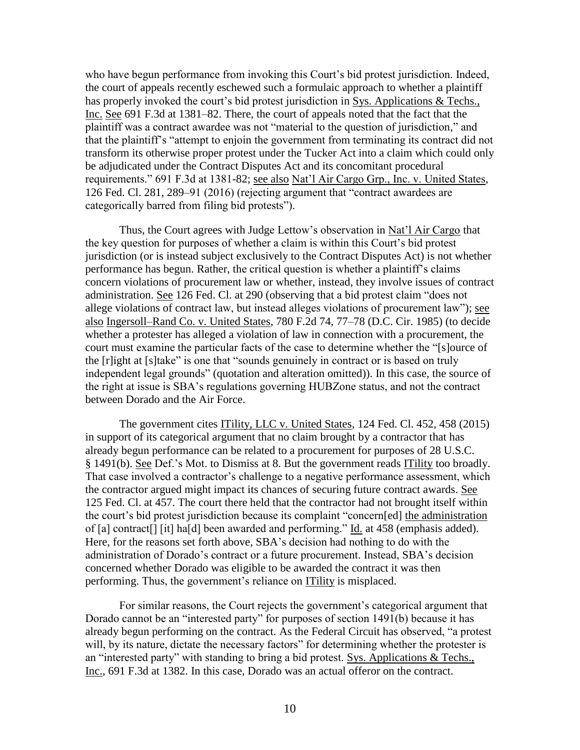who have begun performance from invoking this Court's bid protest jurisdiction. Indeed, the court of appeals recently eschewed such a formulaic approach to whether a plaintiff has properly invoked the court's bid protest jurisdiction in Sys. Applications & Techs., Inc. See 691 F.3d at 1381–82. There, the court of appeals noted that the fact that the plaintiff was a contract awardee was not "material to the question of jurisdiction," and that the plaintiff's "attempt to enjoin the government from terminating its contract did not transform its otherwise proper protest under the Tucker Act into a claim which could only be adjudicated under the Contract Disputes Act and its concomitant procedural requirements." 691 F.3d at 1381-82; see also Nat'l Air Cargo Grp., Inc. v. United States, 126 Fed. Cl. 281, 289–91 (2016) (rejecting argument that "contract awardees are categorically barred from filing bid protests").

Thus, the Court agrees with Judge Lettow's observation in Nat'l Air Cargo that the key question for purposes of whether a claim is within this Court's bid protest jurisdiction (or is instead subject exclusively to the Contract Disputes Act) is not whether performance has begun. Rather, the critical question is whether a plaintiff's claims concern violations of procurement law or whether, instead, they involve issues of contract administration. See 126 Fed. Cl. at 290 (observing that a bid protest claim "does not allege violations of contract law, but instead alleges violations of procurement law"); see also Ingersoll–Rand Co. v. United States, 780 F.2d 74, 77–78 (D.C. Cir. 1985) (to decide whether a protester has alleged a violation of law in connection with a procurement, the court must examine the particular facts of the case to determine whether the "[s]ource of the [r]ight at [s]take" is one that "sounds genuinely in contract or is based on truly independent legal grounds" (quotation and alteration omitted)). In this case, the source of the right at issue is SBA's regulations governing HUBZone status, and not the contract between Dorado and the Air Force.

The government cites ITility, LLC v. United States, 124 Fed. Cl. 452, 458 (2015) in support of its categorical argument that no claim brought by a contractor that has already begun performance can be related to a procurement for purposes of 28 U.S.C. § 1491(b). See Def.'s Mot. to Dismiss at 8. But the government reads ITility too broadly. That case involved a contractor's challenge to a negative performance assessment, which the contractor argued might impact its chances of securing future contract awards. See 125 Fed. Cl. at 457. The court there held that the contractor had not brought itself within the court's bid protest jurisdiction because its complaint "concern[ed] the administration of [a] contract[] [it] ha[d] been awarded and performing." Id. at 458 (emphasis added). Here, for the reasons set forth above, SBA's decision had nothing to do with the administration of Dorado's contract or a future procurement. Instead, SBA's decision concerned whether Dorado was eligible to be awarded the contract it was then performing. Thus, the government's reliance on ITility is misplaced.

For similar reasons, the Court rejects the government's categorical argument that Dorado cannot be an "interested party" for purposes of section 1491(b) because it has already begun performing on the contract. As the Federal Circuit has observed, "a protest will, by its nature, dictate the necessary factors" for determining whether the protester is an "interested party" with standing to bring a bid protest. Sys. Applications & Techs., Inc., 691 F.3d at 1382. In this case, Dorado was an actual offeror on the contract.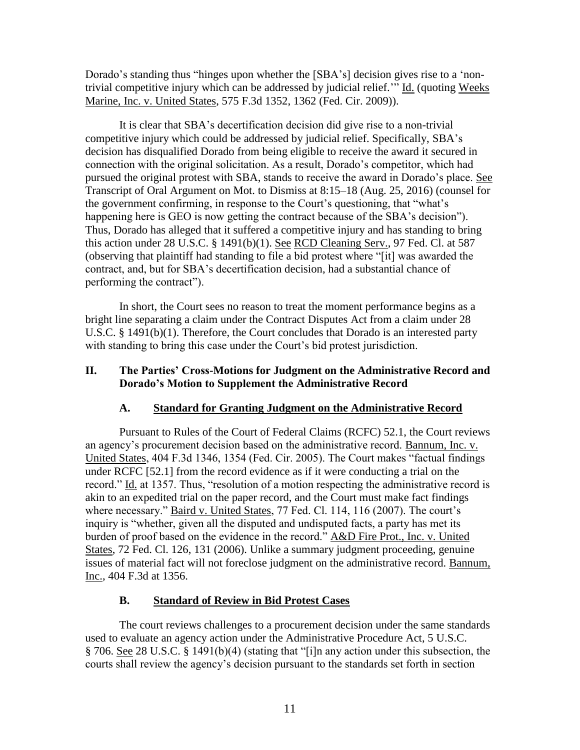Dorado's standing thus "hinges upon whether the [SBA's] decision gives rise to a 'nontrivial competitive injury which can be addressed by judicial relief." Id. (quoting Weeks Marine, Inc. v. United States, 575 F.3d 1352, 1362 (Fed. Cir. 2009)).

It is clear that SBA's decertification decision did give rise to a non-trivial competitive injury which could be addressed by judicial relief. Specifically, SBA's decision has disqualified Dorado from being eligible to receive the award it secured in connection with the original solicitation. As a result, Dorado's competitor, which had pursued the original protest with SBA, stands to receive the award in Dorado's place. See Transcript of Oral Argument on Mot. to Dismiss at 8:15–18 (Aug. 25, 2016) (counsel for the government confirming, in response to the Court's questioning, that "what's happening here is GEO is now getting the contract because of the SBA's decision"). Thus, Dorado has alleged that it suffered a competitive injury and has standing to bring this action under 28 U.S.C. § 1491(b)(1). See RCD Cleaning Serv., 97 Fed. Cl. at 587 (observing that plaintiff had standing to file a bid protest where "[it] was awarded the contract, and, but for SBA's decertification decision, had a substantial chance of performing the contract").

In short, the Court sees no reason to treat the moment performance begins as a bright line separating a claim under the Contract Disputes Act from a claim under 28 U.S.C. § 1491(b)(1). Therefore, the Court concludes that Dorado is an interested party with standing to bring this case under the Court's bid protest jurisdiction.

## **II. The Parties' Cross-Motions for Judgment on the Administrative Record and Dorado's Motion to Supplement the Administrative Record**

# **A. Standard for Granting Judgment on the Administrative Record**

Pursuant to Rules of the Court of Federal Claims (RCFC) 52.1, the Court reviews an agency's procurement decision based on the administrative record. Bannum, Inc. v. United States, 404 F.3d 1346, 1354 (Fed. Cir. 2005). The Court makes "factual findings under RCFC [52.1] from the record evidence as if it were conducting a trial on the record." Id. at 1357. Thus, "resolution of a motion respecting the administrative record is akin to an expedited trial on the paper record, and the Court must make fact findings where necessary." Baird v. United States, 77 Fed. Cl. 114, 116 (2007). The court's inquiry is "whether, given all the disputed and undisputed facts, a party has met its burden of proof based on the evidence in the record." A&D Fire Prot., Inc. v. United States, 72 Fed. Cl. 126, 131 (2006). Unlike a summary judgment proceeding, genuine issues of material fact will not foreclose judgment on the administrative record. Bannum, Inc., 404 F.3d at 1356.

# **B. Standard of Review in Bid Protest Cases**

The court reviews challenges to a procurement decision under the same standards used to evaluate an agency action under the Administrative Procedure Act, 5 U.S.C. § 706. See 28 U.S.C. § 1491(b)(4) (stating that "[i]n any action under this subsection, the courts shall review the agency's decision pursuant to the standards set forth in section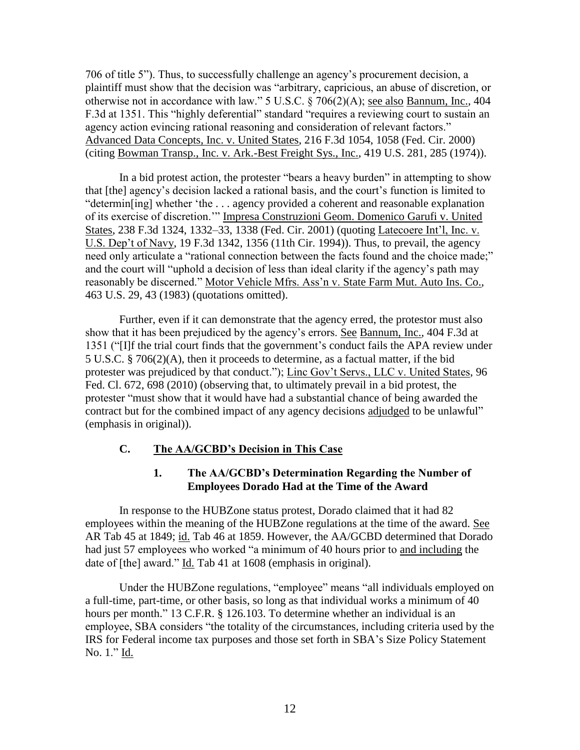706 of title 5"). Thus, to successfully challenge an agency's procurement decision, a plaintiff must show that the decision was "arbitrary, capricious, an abuse of discretion, or otherwise not in accordance with law." 5 U.S.C. § 706(2)(A); see also Bannum, Inc., 404 F.3d at 1351. This "highly deferential" standard "requires a reviewing court to sustain an agency action evincing rational reasoning and consideration of relevant factors." Advanced Data Concepts, Inc. v. United States, 216 F.3d 1054, 1058 (Fed. Cir. 2000) (citing Bowman Transp., Inc. v. Ark.-Best Freight Sys., Inc., 419 U.S. 281, 285 (1974)).

In a bid protest action, the protester "bears a heavy burden" in attempting to show that [the] agency's decision lacked a rational basis, and the court's function is limited to "determin[ing] whether 'the . . . agency provided a coherent and reasonable explanation of its exercise of discretion.'" Impresa Construzioni Geom. Domenico Garufi v. United States, 238 F.3d 1324, 1332–33, 1338 (Fed. Cir. 2001) (quoting Latecoere Int'l, Inc. v. U.S. Dep't of Navy, 19 F.3d 1342, 1356 (11th Cir. 1994)). Thus, to prevail, the agency need only articulate a "rational connection between the facts found and the choice made;" and the court will "uphold a decision of less than ideal clarity if the agency's path may reasonably be discerned." Motor Vehicle Mfrs. Ass'n v. State Farm Mut. Auto Ins. Co., 463 U.S. 29, 43 (1983) (quotations omitted).

Further, even if it can demonstrate that the agency erred, the protestor must also show that it has been prejudiced by the agency's errors. See Bannum, Inc., 404 F.3d at 1351 ("[I]f the trial court finds that the government's conduct fails the APA review under 5 U.S.C. § 706(2)(A), then it proceeds to determine, as a factual matter, if the bid protester was prejudiced by that conduct."); Linc Gov't Servs., LLC v. United States, 96 Fed. Cl. 672, 698 (2010) (observing that, to ultimately prevail in a bid protest, the protester "must show that it would have had a substantial chance of being awarded the contract but for the combined impact of any agency decisions adjudged to be unlawful" (emphasis in original)).

# **C. The AA/GCBD's Decision in This Case**

## **1. The AA/GCBD's Determination Regarding the Number of Employees Dorado Had at the Time of the Award**

In response to the HUBZone status protest, Dorado claimed that it had 82 employees within the meaning of the HUBZone regulations at the time of the award. See AR Tab 45 at 1849; id. Tab 46 at 1859. However, the AA/GCBD determined that Dorado had just 57 employees who worked "a minimum of 40 hours prior to and including the date of [the] award." Id. Tab 41 at 1608 (emphasis in original).

Under the HUBZone regulations, "employee" means "all individuals employed on a full-time, part-time, or other basis, so long as that individual works a minimum of 40 hours per month." 13 C.F.R. § 126.103. To determine whether an individual is an employee, SBA considers "the totality of the circumstances, including criteria used by the IRS for Federal income tax purposes and those set forth in SBA's Size Policy Statement No. 1." Id.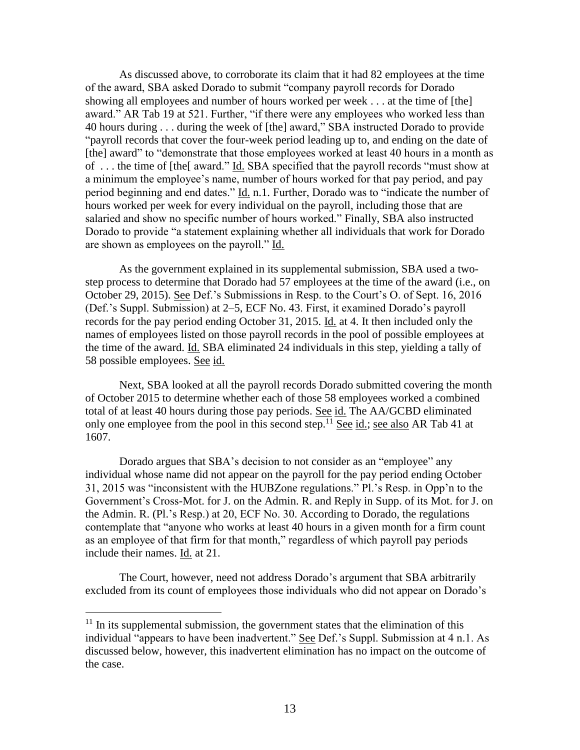As discussed above, to corroborate its claim that it had 82 employees at the time of the award, SBA asked Dorado to submit "company payroll records for Dorado showing all employees and number of hours worked per week . . . at the time of [the] award." AR Tab 19 at 521. Further, "if there were any employees who worked less than 40 hours during . . . during the week of [the] award," SBA instructed Dorado to provide "payroll records that cover the four-week period leading up to, and ending on the date of [the] award" to "demonstrate that those employees worked at least 40 hours in a month as of . . . the time of [the[ award." Id. SBA specified that the payroll records "must show at a minimum the employee's name, number of hours worked for that pay period, and pay period beginning and end dates." Id. n.1. Further, Dorado was to "indicate the number of hours worked per week for every individual on the payroll, including those that are salaried and show no specific number of hours worked." Finally, SBA also instructed Dorado to provide "a statement explaining whether all individuals that work for Dorado are shown as employees on the payroll." Id.

As the government explained in its supplemental submission, SBA used a twostep process to determine that Dorado had 57 employees at the time of the award (i.e., on October 29, 2015). See Def.'s Submissions in Resp. to the Court's O. of Sept. 16, 2016 (Def.'s Suppl. Submission) at 2–5, ECF No. 43. First, it examined Dorado's payroll records for the pay period ending October 31, 2015. Id. at 4. It then included only the names of employees listed on those payroll records in the pool of possible employees at the time of the award. Id. SBA eliminated 24 individuals in this step, yielding a tally of 58 possible employees. See id.

Next, SBA looked at all the payroll records Dorado submitted covering the month of October 2015 to determine whether each of those 58 employees worked a combined total of at least 40 hours during those pay periods. See id. The AA/GCBD eliminated only one employee from the pool in this second step.<sup>11</sup> See id.; see also AR Tab 41 at 1607.

Dorado argues that SBA's decision to not consider as an "employee" any individual whose name did not appear on the payroll for the pay period ending October 31, 2015 was "inconsistent with the HUBZone regulations." Pl.'s Resp. in Opp'n to the Government's Cross-Mot. for J. on the Admin. R. and Reply in Supp. of its Mot. for J. on the Admin. R. (Pl.'s Resp.) at 20, ECF No. 30. According to Dorado, the regulations contemplate that "anyone who works at least 40 hours in a given month for a firm count as an employee of that firm for that month," regardless of which payroll pay periods include their names. Id. at 21.

The Court, however, need not address Dorado's argument that SBA arbitrarily excluded from its count of employees those individuals who did not appear on Dorado's

 $11$  In its supplemental submission, the government states that the elimination of this individual "appears to have been inadvertent." See Def.'s Suppl. Submission at 4 n.1. As discussed below, however, this inadvertent elimination has no impact on the outcome of the case.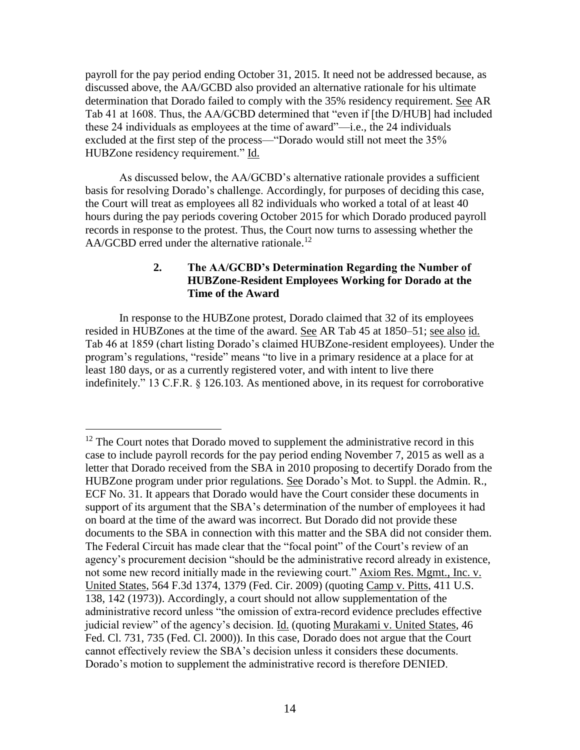payroll for the pay period ending October 31, 2015. It need not be addressed because, as discussed above, the AA/GCBD also provided an alternative rationale for his ultimate determination that Dorado failed to comply with the 35% residency requirement. See AR Tab 41 at 1608. Thus, the AA/GCBD determined that "even if [the D/HUB] had included these 24 individuals as employees at the time of award"—i.e., the 24 individuals excluded at the first step of the process—"Dorado would still not meet the 35% HUBZone residency requirement." Id.

As discussed below, the AA/GCBD's alternative rationale provides a sufficient basis for resolving Dorado's challenge. Accordingly, for purposes of deciding this case, the Court will treat as employees all 82 individuals who worked a total of at least 40 hours during the pay periods covering October 2015 for which Dorado produced payroll records in response to the protest. Thus, the Court now turns to assessing whether the  $AA/GCBD$  erred under the alternative rationale.<sup>12</sup>

# **2. The AA/GCBD's Determination Regarding the Number of HUBZone-Resident Employees Working for Dorado at the Time of the Award**

In response to the HUBZone protest, Dorado claimed that 32 of its employees resided in HUBZones at the time of the award. See AR Tab 45 at 1850–51; see also id. Tab 46 at 1859 (chart listing Dorado's claimed HUBZone-resident employees). Under the program's regulations, "reside" means "to live in a primary residence at a place for at least 180 days, or as a currently registered voter, and with intent to live there indefinitely." 13 C.F.R. § 126.103. As mentioned above, in its request for corroborative

  $12$  The Court notes that Dorado moved to supplement the administrative record in this case to include payroll records for the pay period ending November 7, 2015 as well as a letter that Dorado received from the SBA in 2010 proposing to decertify Dorado from the HUBZone program under prior regulations. See Dorado's Mot. to Suppl. the Admin. R., ECF No. 31. It appears that Dorado would have the Court consider these documents in support of its argument that the SBA's determination of the number of employees it had on board at the time of the award was incorrect. But Dorado did not provide these documents to the SBA in connection with this matter and the SBA did not consider them. The Federal Circuit has made clear that the "focal point" of the Court's review of an agency's procurement decision "should be the administrative record already in existence, not some new record initially made in the reviewing court." Axiom Res. Mgmt., Inc. v. United States, 564 F.3d 1374, 1379 (Fed. Cir. 2009) (quoting Camp v. Pitts, 411 U.S. 138, 142 (1973)). Accordingly, a court should not allow supplementation of the administrative record unless "the omission of extra-record evidence precludes effective judicial review" of the agency's decision. Id. (quoting Murakami v. United States, 46 Fed. Cl. 731, 735 (Fed. Cl. 2000)). In this case, Dorado does not argue that the Court cannot effectively review the SBA's decision unless it considers these documents. Dorado's motion to supplement the administrative record is therefore DENIED.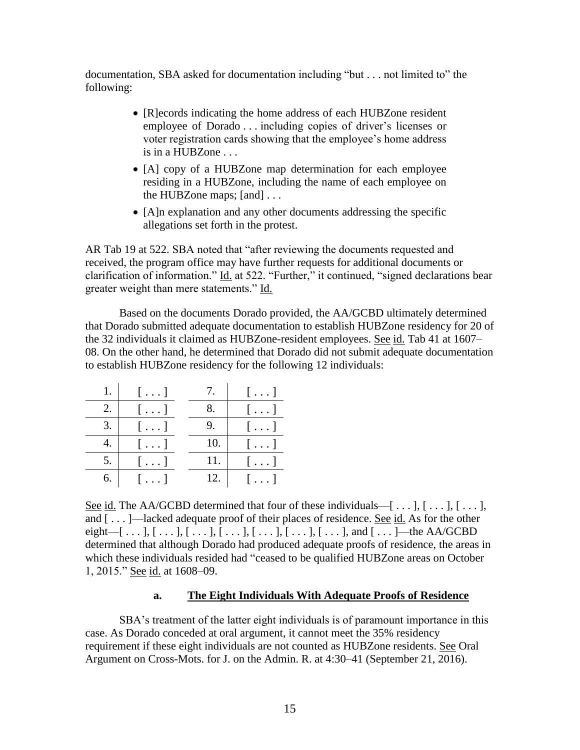documentation, SBA asked for documentation including "but . . . not limited to" the following:

- [R]ecords indicating the home address of each HUBZone resident employee of Dorado . . . including copies of driver's licenses or voter registration cards showing that the employee's home address is in a HUBZone . . .
- [A] copy of a HUBZone map determination for each employee residing in a HUBZone, including the name of each employee on the HUBZone maps; [and] . . .
- [A]n explanation and any other documents addressing the specific allegations set forth in the protest.

AR Tab 19 at 522. SBA noted that "after reviewing the documents requested and received, the program office may have further requests for additional documents or clarification of information." Id. at 522. "Further," it continued, "signed declarations bear greater weight than mere statements." Id.

Based on the documents Dorado provided, the AA/GCBD ultimately determined that Dorado submitted adequate documentation to establish HUBZone residency for 20 of the 32 individuals it claimed as HUBZone-resident employees. See id. Tab 41 at 1607– 08. On the other hand, he determined that Dorado did not submit adequate documentation to establish HUBZone residency for the following 12 individuals:

|    | $\left[\ldots\right]$ | $\mathcal{L}$ . | $\left[\ldots\right]$ |
|----|-----------------------|-----------------|-----------------------|
| 2. | $[\ldots]$            |                 | $\left[\ldots\right]$ |
| 3. | $[\ldots]$            |                 | $[\ldots]$            |
|    | $[\ldots]$            | 10.             | $\lceil \dots \rceil$ |
| 5. | $[\ldots]$            | 11.             | $[\ldots]$            |
| 6. | $[\ldots]$            | 12.             | $\lceil \dots \rceil$ |

See id. The AA/GCBD determined that four of these individuals— $[\ldots]$ ,  $[\ldots]$ ,  $[\ldots]$ , and [ . . . ]—lacked adequate proof of their places of residence. See id. As for the other eight—[...],  $[...]$ ,  $[...]$ ,  $[...]$ ,  $[...]$ ,  $[...]$ ,  $[...]$ ,  $[...]$ ,  $[...]$ , and  $[...]$ —the AA/GCBD determined that although Dorado had produced adequate proofs of residence, the areas in which these individuals resided had "ceased to be qualified HUBZone areas on October 1, 2015." See id. at 1608–09.

# **a. The Eight Individuals With Adequate Proofs of Residence**

SBA's treatment of the latter eight individuals is of paramount importance in this case. As Dorado conceded at oral argument, it cannot meet the 35% residency requirement if these eight individuals are not counted as HUBZone residents. See Oral Argument on Cross-Mots. for J. on the Admin. R. at 4:30–41 (September 21, 2016).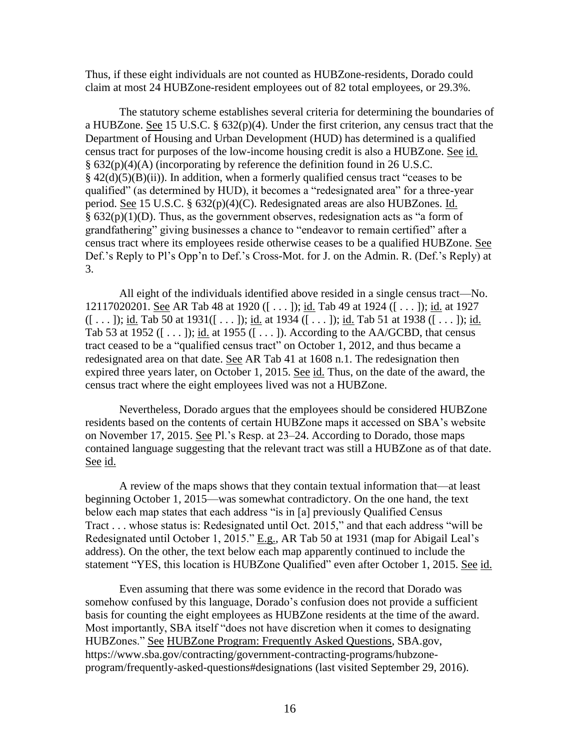Thus, if these eight individuals are not counted as HUBZone-residents, Dorado could claim at most 24 HUBZone-resident employees out of 82 total employees, or 29.3%.

The statutory scheme establishes several criteria for determining the boundaries of a HUBZone. See 15 U.S.C. § 632(p)(4). Under the first criterion, any census tract that the Department of Housing and Urban Development (HUD) has determined is a qualified census tract for purposes of the low-income housing credit is also a HUBZone. See id. § 632(p)(4)(A) (incorporating by reference the definition found in 26 U.S.C.  $§$  42(d)(5)(B)(ii)). In addition, when a formerly qualified census tract "ceases to be qualified" (as determined by HUD), it becomes a "redesignated area" for a three-year period. See 15 U.S.C. § 632(p)(4)(C). Redesignated areas are also HUBZones. Id.  $§ 632(p)(1)(D)$ . Thus, as the government observes, redesignation acts as "a form of grandfathering" giving businesses a chance to "endeavor to remain certified" after a census tract where its employees reside otherwise ceases to be a qualified HUBZone. See Def.'s Reply to Pl's Opp'n to Def.'s Cross-Mot. for J. on the Admin. R. (Def.'s Reply) at 3.

All eight of the individuals identified above resided in a single census tract—No. 12117020201. See AR Tab 48 at 1920 ([ . . . ]); id. Tab 49 at 1924 ([ . . . ]); id. at 1927  $([ \dots ]);$  id. Tab 50 at 1931 $([ \dots ]);$  id. at 1934  $([ \dots ]);$  id. Tab 51 at 1938  $([ \dots ]);$  id. Tab 53 at 1952 ([ $\dots$ ]); <u>id.</u> at 1955 ([ $\dots$ ]). According to the AA/GCBD, that census tract ceased to be a "qualified census tract" on October 1, 2012, and thus became a redesignated area on that date. See AR Tab 41 at 1608 n.1. The redesignation then expired three years later, on October 1, 2015. See id. Thus, on the date of the award, the census tract where the eight employees lived was not a HUBZone.

Nevertheless, Dorado argues that the employees should be considered HUBZone residents based on the contents of certain HUBZone maps it accessed on SBA's website on November 17, 2015. See Pl.'s Resp. at 23–24. According to Dorado, those maps contained language suggesting that the relevant tract was still a HUBZone as of that date. See id.

A review of the maps shows that they contain textual information that—at least beginning October 1, 2015—was somewhat contradictory. On the one hand, the text below each map states that each address "is in [a] previously Qualified Census Tract . . . whose status is: Redesignated until Oct. 2015," and that each address "will be Redesignated until October 1, 2015." E.g., AR Tab 50 at 1931 (map for Abigail Leal's address). On the other, the text below each map apparently continued to include the statement "YES, this location is HUBZone Qualified" even after October 1, 2015. See id.

Even assuming that there was some evidence in the record that Dorado was somehow confused by this language, Dorado's confusion does not provide a sufficient basis for counting the eight employees as HUBZone residents at the time of the award. Most importantly, SBA itself "does not have discretion when it comes to designating HUBZones." See HUBZone Program: Frequently Asked Questions, SBA.gov, https://www.sba.gov/contracting/government-contracting-programs/hubzoneprogram/frequently-asked-questions#designations (last visited September 29, 2016).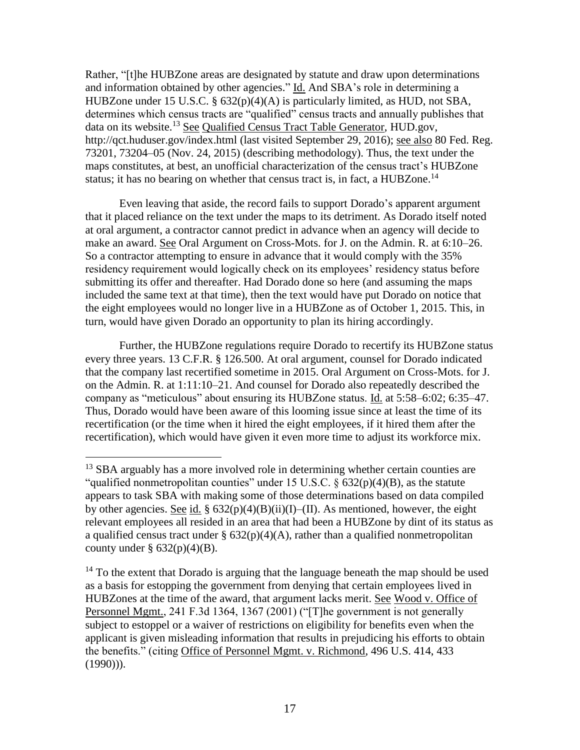Rather, "[t]he HUBZone areas are designated by statute and draw upon determinations and information obtained by other agencies." Id. And SBA's role in determining a HUBZone under 15 U.S.C. § 632(p)(4)(A) is particularly limited, as HUD, not SBA, determines which census tracts are "qualified" census tracts and annually publishes that data on its website.<sup>13</sup> See Qualified Census Tract Table Generator, HUD.gov, http://qct.huduser.gov/index.html (last visited September 29, 2016); see also 80 Fed. Reg. 73201, 73204–05 (Nov. 24, 2015) (describing methodology). Thus, the text under the maps constitutes, at best, an unofficial characterization of the census tract's HUBZone status; it has no bearing on whether that census tract is, in fact, a HUBZone.<sup>14</sup>

Even leaving that aside, the record fails to support Dorado's apparent argument that it placed reliance on the text under the maps to its detriment. As Dorado itself noted at oral argument, a contractor cannot predict in advance when an agency will decide to make an award. See Oral Argument on Cross-Mots. for J. on the Admin. R. at 6:10–26. So a contractor attempting to ensure in advance that it would comply with the 35% residency requirement would logically check on its employees' residency status before submitting its offer and thereafter. Had Dorado done so here (and assuming the maps included the same text at that time), then the text would have put Dorado on notice that the eight employees would no longer live in a HUBZone as of October 1, 2015. This, in turn, would have given Dorado an opportunity to plan its hiring accordingly.

Further, the HUBZone regulations require Dorado to recertify its HUBZone status every three years. 13 C.F.R. § 126.500. At oral argument, counsel for Dorado indicated that the company last recertified sometime in 2015. Oral Argument on Cross-Mots. for J. on the Admin. R. at 1:11:10–21. And counsel for Dorado also repeatedly described the company as "meticulous" about ensuring its HUBZone status. Id. at 5:58–6:02; 6:35–47. Thus, Dorado would have been aware of this looming issue since at least the time of its recertification (or the time when it hired the eight employees, if it hired them after the recertification), which would have given it even more time to adjust its workforce mix.

 $\overline{a}$ 

<sup>&</sup>lt;sup>13</sup> SBA arguably has a more involved role in determining whether certain counties are "qualified nonmetropolitan counties" under 15 U.S.C.  $\S$  632(p)(4)(B), as the statute appears to task SBA with making some of those determinations based on data compiled by other agencies. See id. §  $632(p)(4)(B)(ii)(I)$ –(II). As mentioned, however, the eight relevant employees all resided in an area that had been a HUBZone by dint of its status as a qualified census tract under  $\S 632(p)(4)(A)$ , rather than a qualified nonmetropolitan county under  $\S 632(p)(4)(B)$ .

 $14$  To the extent that Dorado is arguing that the language beneath the map should be used as a basis for estopping the government from denying that certain employees lived in HUBZones at the time of the award, that argument lacks merit. See Wood v. Office of Personnel Mgmt., 241 F.3d 1364, 1367 (2001) ("[T]he government is not generally subject to estoppel or a waiver of restrictions on eligibility for benefits even when the applicant is given misleading information that results in prejudicing his efforts to obtain the benefits." (citing Office of Personnel Mgmt. v. Richmond, 496 U.S. 414, 433  $(1990))$ .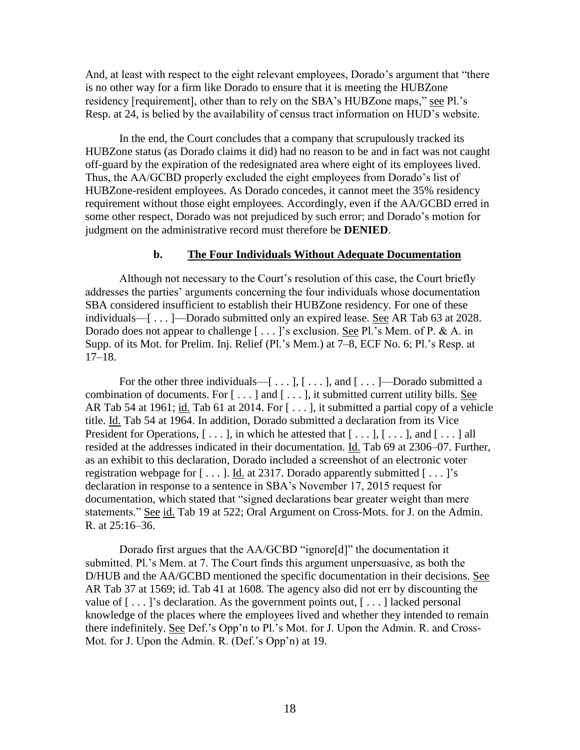And, at least with respect to the eight relevant employees, Dorado's argument that "there is no other way for a firm like Dorado to ensure that it is meeting the HUBZone residency [requirement], other than to rely on the SBA's HUBZone maps," see Pl.'s Resp. at 24, is belied by the availability of census tract information on HUD's website.

In the end, the Court concludes that a company that scrupulously tracked its HUBZone status (as Dorado claims it did) had no reason to be and in fact was not caught off-guard by the expiration of the redesignated area where eight of its employees lived. Thus, the AA/GCBD properly excluded the eight employees from Dorado's list of HUBZone-resident employees. As Dorado concedes, it cannot meet the 35% residency requirement without those eight employees. Accordingly, even if the AA/GCBD erred in some other respect, Dorado was not prejudiced by such error; and Dorado's motion for judgment on the administrative record must therefore be **DENIED**.

#### **b. The Four Individuals Without Adequate Documentation**

Although not necessary to the Court's resolution of this case, the Court briefly addresses the parties' arguments concerning the four individuals whose documentation SBA considered insufficient to establish their HUBZone residency. For one of these individuals—[ . . . ]—Dorado submitted only an expired lease. See AR Tab 63 at 2028. Dorado does not appear to challenge [...]'s exclusion. See Pl.'s Mem. of P. & A. in Supp. of its Mot. for Prelim. Inj. Relief (Pl.'s Mem.) at 7–8, ECF No. 6; Pl.'s Resp. at 17–18.

For the other three individuals— $[\dots], [\dots],$  and  $[\dots]$ —Dorado submitted a combination of documents. For  $[\ldots]$  and  $[\ldots]$ , it submitted current utility bills. See AR Tab 54 at 1961; id. Tab 61 at 2014. For [...], it submitted a partial copy of a vehicle title. Id. Tab 54 at 1964. In addition, Dorado submitted a declaration from its Vice President for Operations,  $[\ldots]$ , in which he attested that  $[\ldots]$ ,  $[\ldots]$ , and  $[\ldots]$  all resided at the addresses indicated in their documentation. Id. Tab 69 at 2306–07. Further, as an exhibit to this declaration, Dorado included a screenshot of an electronic voter registration webpage for  $[\dots]$ . Id. at 2317. Dorado apparently submitted  $[\dots]$ 's declaration in response to a sentence in SBA's November 17, 2015 request for documentation, which stated that "signed declarations bear greater weight than mere statements." See id. Tab 19 at 522; Oral Argument on Cross-Mots. for J. on the Admin. R. at 25:16–36.

Dorado first argues that the AA/GCBD "ignore[d]" the documentation it submitted. Pl.'s Mem. at 7. The Court finds this argument unpersuasive, as both the D/HUB and the AA/GCBD mentioned the specific documentation in their decisions. See AR Tab 37 at 1569; id. Tab 41 at 1608. The agency also did not err by discounting the value of  $[\ldots]$ 's declaration. As the government points out,  $[\ldots]$  lacked personal knowledge of the places where the employees lived and whether they intended to remain there indefinitely. See Def.'s Opp'n to Pl.'s Mot. for J. Upon the Admin. R. and Cross-Mot. for J. Upon the Admin. R. (Def.'s Opp'n) at 19.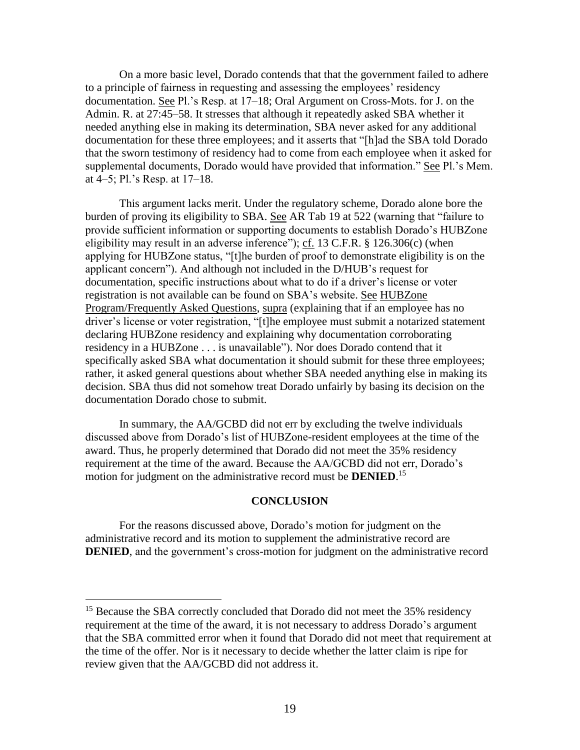On a more basic level, Dorado contends that that the government failed to adhere to a principle of fairness in requesting and assessing the employees' residency documentation. See Pl.'s Resp. at 17–18; Oral Argument on Cross-Mots. for J. on the Admin. R. at 27:45–58. It stresses that although it repeatedly asked SBA whether it needed anything else in making its determination, SBA never asked for any additional documentation for these three employees; and it asserts that "[h]ad the SBA told Dorado that the sworn testimony of residency had to come from each employee when it asked for supplemental documents, Dorado would have provided that information." See Pl.'s Mem. at 4–5; Pl.'s Resp. at 17–18.

This argument lacks merit. Under the regulatory scheme, Dorado alone bore the burden of proving its eligibility to SBA. See AR Tab 19 at 522 (warning that "failure to provide sufficient information or supporting documents to establish Dorado's HUBZone eligibility may result in an adverse inference"); cf. 13 C.F.R. § 126.306(c) (when applying for HUBZone status, "[t]he burden of proof to demonstrate eligibility is on the applicant concern"). And although not included in the D/HUB's request for documentation, specific instructions about what to do if a driver's license or voter registration is not available can be found on SBA's website. See HUBZone Program/Frequently Asked Questions, supra (explaining that if an employee has no driver's license or voter registration, "[t]he employee must submit a notarized statement declaring HUBZone residency and explaining why documentation corroborating residency in a HUBZone . . . is unavailable"). Nor does Dorado contend that it specifically asked SBA what documentation it should submit for these three employees; rather, it asked general questions about whether SBA needed anything else in making its decision. SBA thus did not somehow treat Dorado unfairly by basing its decision on the documentation Dorado chose to submit.

In summary, the AA/GCBD did not err by excluding the twelve individuals discussed above from Dorado's list of HUBZone-resident employees at the time of the award. Thus, he properly determined that Dorado did not meet the 35% residency requirement at the time of the award. Because the AA/GCBD did not err, Dorado's motion for judgment on the administrative record must be **DENIED**. 15

## **CONCLUSION**

For the reasons discussed above, Dorado's motion for judgment on the administrative record and its motion to supplement the administrative record are **DENIED**, and the government's cross-motion for judgment on the administrative record

<sup>&</sup>lt;sup>15</sup> Because the SBA correctly concluded that Dorado did not meet the 35% residency requirement at the time of the award, it is not necessary to address Dorado's argument that the SBA committed error when it found that Dorado did not meet that requirement at the time of the offer. Nor is it necessary to decide whether the latter claim is ripe for review given that the AA/GCBD did not address it.